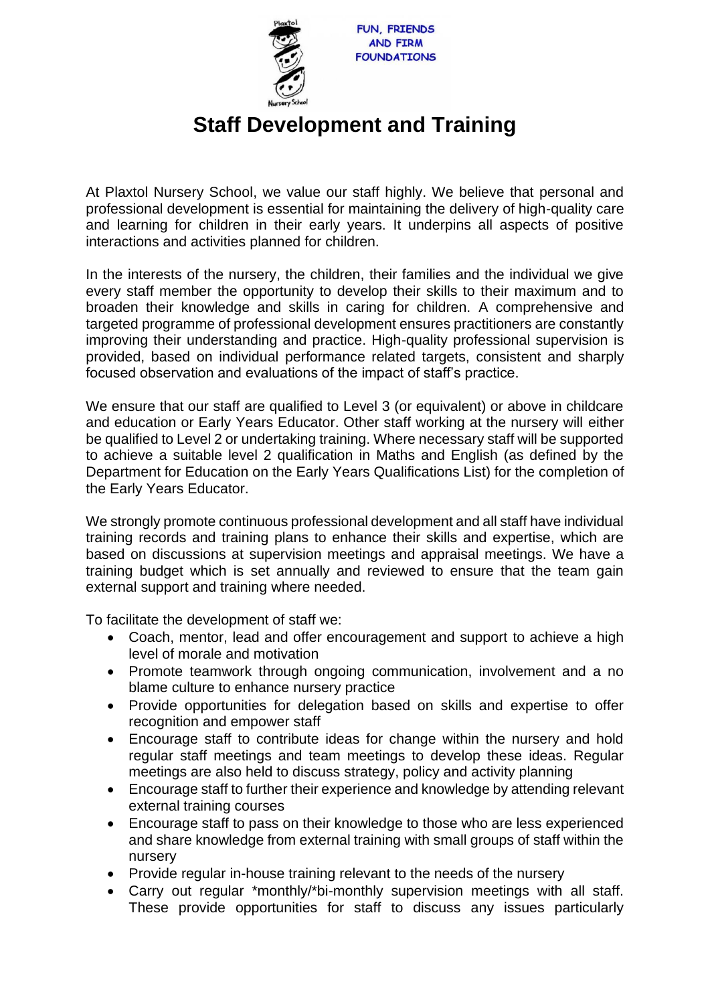

## **Staff Development and Training**

At Plaxtol Nursery School, we value our staff highly. We believe that personal and professional development is essential for maintaining the delivery of high-quality care and learning for children in their early years. It underpins all aspects of positive interactions and activities planned for children.

In the interests of the nursery, the children, their families and the individual we give every staff member the opportunity to develop their skills to their maximum and to broaden their knowledge and skills in caring for children. A comprehensive and targeted programme of professional development ensures practitioners are constantly improving their understanding and practice. High-quality professional supervision is provided, based on individual performance related targets, consistent and sharply focused observation and evaluations of the impact of staff's practice.

We ensure that our staff are qualified to Level 3 (or equivalent) or above in childcare and education or Early Years Educator. Other staff working at the nursery will either be qualified to Level 2 or undertaking training. Where necessary staff will be supported to achieve a suitable level 2 qualification in Maths and English (as defined by the Department for Education on the Early Years Qualifications List) for the completion of the Early Years Educator.

We strongly promote continuous professional development and all staff have individual training records and training plans to enhance their skills and expertise, which are based on discussions at supervision meetings and appraisal meetings. We have a training budget which is set annually and reviewed to ensure that the team gain external support and training where needed.

To facilitate the development of staff we:

- Coach, mentor, lead and offer encouragement and support to achieve a high level of morale and motivation
- Promote teamwork through ongoing communication, involvement and a no blame culture to enhance nursery practice
- Provide opportunities for delegation based on skills and expertise to offer recognition and empower staff
- Encourage staff to contribute ideas for change within the nursery and hold regular staff meetings and team meetings to develop these ideas. Regular meetings are also held to discuss strategy, policy and activity planning
- Encourage staff to further their experience and knowledge by attending relevant external training courses
- Encourage staff to pass on their knowledge to those who are less experienced and share knowledge from external training with small groups of staff within the nursery
- Provide regular in-house training relevant to the needs of the nursery
- Carry out regular \*monthly/\*bi-monthly supervision meetings with all staff. These provide opportunities for staff to discuss any issues particularly